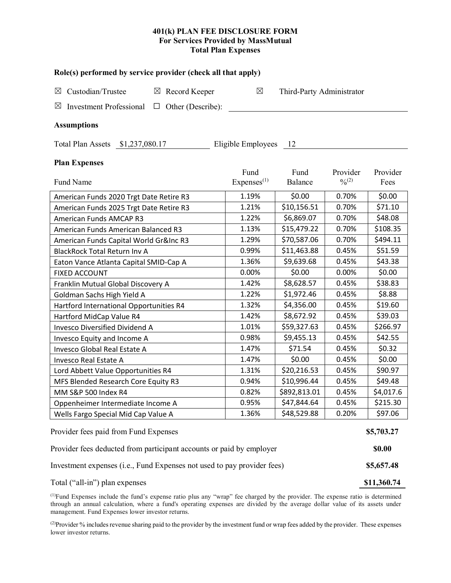# **401(k) PLAN FEE DISCLOSURE FORM For Services Provided by MassMutual Total Plan Expenses**

| Role(s) performed by service provider (check all that apply)              |                                |                           |                       |                  |  |  |  |  |  |  |
|---------------------------------------------------------------------------|--------------------------------|---------------------------|-----------------------|------------------|--|--|--|--|--|--|
| Custodian/Trustee<br>$\boxtimes$ Record Keeper<br>$\boxtimes$             | $\boxtimes$                    | Third-Party Administrator |                       |                  |  |  |  |  |  |  |
| <b>Investment Professional</b><br>$\Box$ Other (Describe):<br>$\boxtimes$ |                                |                           |                       |                  |  |  |  |  |  |  |
|                                                                           |                                |                           |                       |                  |  |  |  |  |  |  |
| <b>Assumptions</b>                                                        |                                |                           |                       |                  |  |  |  |  |  |  |
| Total Plan Assets \$1,237,080.17<br>Eligible Employees<br>- 12            |                                |                           |                       |                  |  |  |  |  |  |  |
| <b>Plan Expenses</b>                                                      |                                |                           |                       |                  |  |  |  |  |  |  |
| Fund Name                                                                 | Fund<br>Express <sup>(1)</sup> | Fund<br>Balance           | Provider<br>$^{0}(2)$ | Provider<br>Fees |  |  |  |  |  |  |
| American Funds 2020 Trgt Date Retire R3                                   | 1.19%                          | \$0.00                    | 0.70%                 | \$0.00           |  |  |  |  |  |  |
| American Funds 2025 Trgt Date Retire R3                                   | 1.21%                          | \$10,156.51               | 0.70%                 | \$71.10          |  |  |  |  |  |  |
| American Funds AMCAP R3                                                   | 1.22%                          | \$6,869.07                | 0.70%                 | \$48.08          |  |  |  |  |  |  |
| American Funds American Balanced R3                                       | 1.13%                          | \$15,479.22               | 0.70%                 | \$108.35         |  |  |  |  |  |  |
| American Funds Capital World Gr&Inc R3                                    | 1.29%                          | \$70,587.06               | 0.70%                 | \$494.11         |  |  |  |  |  |  |
| <b>BlackRock Total Return Inv A</b>                                       | 0.99%                          | \$11,463.88               | 0.45%                 | \$51.59          |  |  |  |  |  |  |
| Eaton Vance Atlanta Capital SMID-Cap A                                    | 1.36%                          | \$9,639.68                | 0.45%                 | \$43.38          |  |  |  |  |  |  |
| <b>FIXED ACCOUNT</b>                                                      | 0.00%                          | \$0.00                    | 0.00%                 | \$0.00           |  |  |  |  |  |  |
| Franklin Mutual Global Discovery A                                        | 1.42%                          | \$8,628.57                | 0.45%                 | \$38.83          |  |  |  |  |  |  |
| Goldman Sachs High Yield A                                                | 1.22%                          | \$1,972.46                | 0.45%                 | \$8.88           |  |  |  |  |  |  |
| Hartford International Opportunities R4                                   | 1.32%                          | \$4,356.00                | 0.45%                 | \$19.60          |  |  |  |  |  |  |
| Hartford MidCap Value R4                                                  | 1.42%                          | \$8,672.92                | 0.45%                 | \$39.03          |  |  |  |  |  |  |
| <b>Invesco Diversified Dividend A</b>                                     | 1.01%                          | \$59,327.63               | 0.45%                 | \$266.97         |  |  |  |  |  |  |
| Invesco Equity and Income A                                               | 0.98%                          | \$9,455.13                | 0.45%                 | \$42.55          |  |  |  |  |  |  |
| Invesco Global Real Estate A                                              | 1.47%                          | \$71.54                   | 0.45%                 | \$0.32           |  |  |  |  |  |  |
| Invesco Real Estate A                                                     | 1.47%                          | \$0.00                    | 0.45%                 | \$0.00           |  |  |  |  |  |  |
| Lord Abbett Value Opportunities R4                                        | 1.31%                          | \$20,216.53               | 0.45%                 | \$90.97          |  |  |  |  |  |  |
| MFS Blended Research Core Equity R3                                       | 0.94%                          | \$10,996.44               | 0.45%                 | \$49.48          |  |  |  |  |  |  |
| MM S&P 500 Index R4                                                       | 0.82%                          | \$892,813.01              | 0.45%                 | \$4,017.6        |  |  |  |  |  |  |
| Oppenheimer Intermediate Income A                                         | 0.95%                          | \$47,844.64               | 0.45%                 | \$215.30         |  |  |  |  |  |  |
| Wells Fargo Special Mid Cap Value A                                       | 1.36%                          | \$48,529.88               | 0.20%                 | \$97.06          |  |  |  |  |  |  |
| Provider fees paid from Fund Expenses                                     |                                |                           |                       |                  |  |  |  |  |  |  |
| Provider fees deducted from participant accounts or paid by employer      |                                |                           |                       |                  |  |  |  |  |  |  |
| Investment expenses (i.e., Fund Expenses not used to pay provider fees)   |                                |                           |                       |                  |  |  |  |  |  |  |
| Total ("all-in") plan expenses                                            |                                |                           |                       |                  |  |  |  |  |  |  |

(1) Fund Expenses include the fund's expense ratio plus any "wrap" fee charged by the provider. The expense ratio is determined through an annual calculation, where a fund's operating expenses are divided by the average dollar value of its assets under management. Fund Expenses lower investor returns.

(2) Provider % includes revenue sharing paid to the provider by the investment fund or wrap fees added by the provider. These expenses lower investor returns.